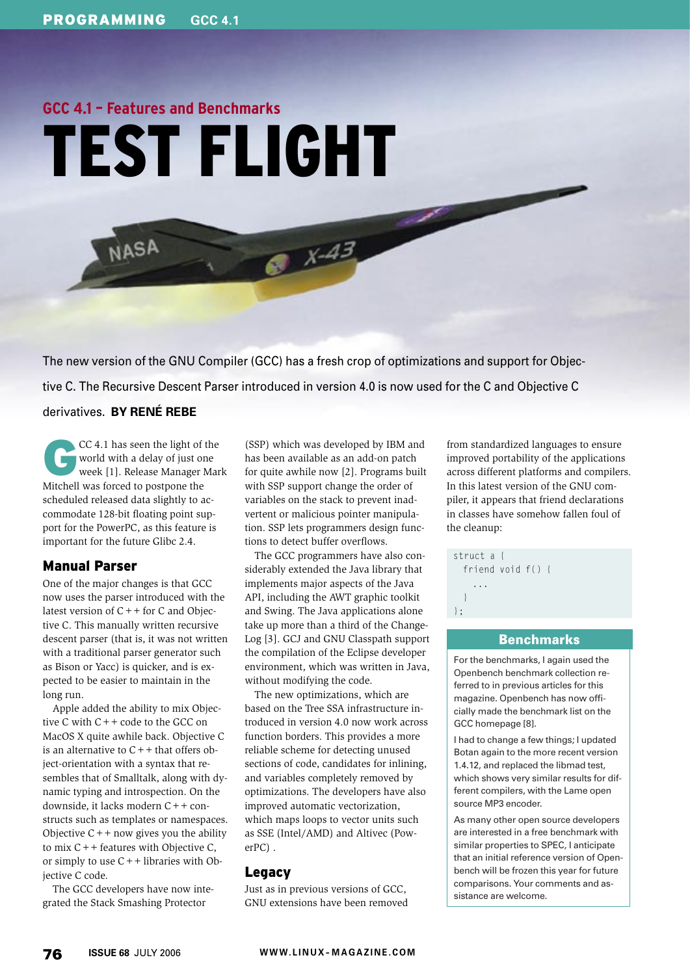# **GCC 4.1 – Features and Benchmarks** TEST FLIGHT

The new version of the GNU Compiler (GCC) has a fresh crop of optimizations and support for Objective C. The Recursive Descent Parser introduced in version 4.0 is now used for the C and Objective C derivatives. **BY RENÉ REBE**

 $6^{x.43}$ 

CC 4.1 has seen the light of the world with a delay of just one week [1]. Release Manager Mark world with a delay of just one Mitchell was forced to postpone the scheduled released data slightly to accommodate 128-bit floating point support for the PowerPC, as this feature is important for the future Glibc 2.4.

NASA

# Manual Parser

One of the major changes is that GCC now uses the parser introduced with the latest version of  $C++$  for C and Objective C. This manually written recursive descent parser (that is, it was not written with a traditional parser generator such as Bison or Yacc) is quicker, and is expected to be easier to maintain in the long run.

Apple added the ability to mix Objective C with C++ code to the GCC on MacOS X quite awhile back. Objective C is an alternative to  $C++$  that offers object-orientation with a syntax that resembles that of Smalltalk, along with dynamic typing and introspection. On the downside, it lacks modern C++ constructs such as templates or namespaces. Objective  $C++$  now gives you the ability to mix  $C++$  features with Objective C, or simply to use  $C++$  libraries with Objective C code.

The GCC developers have now integrated the Stack Smashing Protector

(SSP) which was developed by IBM and has been available as an add-on patch for quite awhile now [2]. Programs built with SSP support change the order of variables on the stack to prevent inadvertent or malicious pointer manipulation. SSP lets programmers design functions to detect buffer overflows.

The GCC programmers have also considerably extended the Java library that implements major aspects of the Java API, including the AWT graphic toolkit and Swing. The Java applications alone take up more than a third of the Change-Log [3]. GCJ and GNU Classpath support the compilation of the Eclipse developer environment, which was written in Java, without modifying the code.

The new optimizations, which are based on the Tree SSA infrastructure introduced in version 4.0 now work across function borders. This provides a more reliable scheme for detecting unused sections of code, candidates for inlining, and variables completely removed by optimizations. The developers have also improved automatic vectorization, which maps loops to vector units such as SSE (Intel/ AMD) and Altivec (PowerPC) .

# Legacy

Just as in previous versions of GCC, GNU extensions have been removed from standardized languages to ensure improved portability of the applications across different platforms and compilers. In this latest version of the GNU compiler, it appears that friend declarations in classes have somehow fallen foul of the cleanup:

```
struct a {
   friend void f() {
 ...
 }
};
```
## **Benchmarks**

For the benchmarks, I again used the Openbench benchmark collection referred to in previous articles for this magazine. Openbench has now officially made the benchmark list on the GCC homepage [8].

I had to change a few things; I updated Botan again to the more recent version 1.4.12, and replaced the libmad test, which shows very similar results for different compilers, with the Lame open source MP3 encoder.

As many other open source developers are interested in a free benchmark with similar properties to SPEC, I anticipate that an initial reference version of Openbench will be frozen this year for future comparisons. Your comments and assistance are welcome.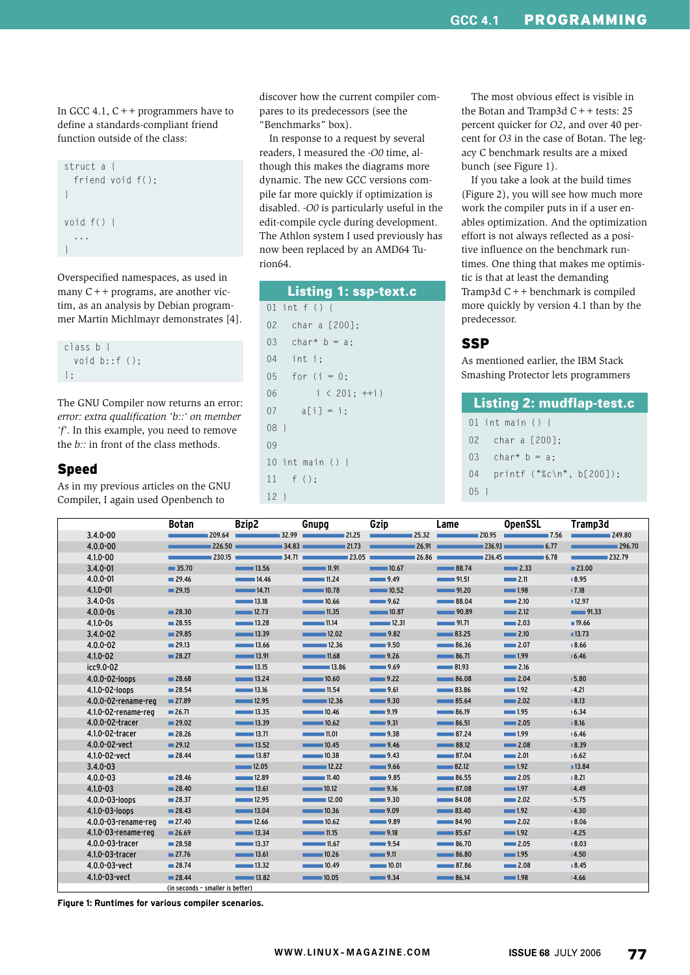In GCC 4.1,  $C++$  programmers have to define a standards-compliant friend function outside of the class:



Overspecified namespaces, as used in many  $C++$  programs, are another victim, as an analysis by Debian programmer Martin Michlmayr demonstrates [4].

class b { void b::f (); };

The GNU Compiler now returns an error: *error: extra qualification 'b::' on member 'f'*. In this example, you need to remove the *b::* in front of the class methods.

#### Speed

As in my previous articles on the GNU Compiler, I again used Openbench to

discover how the current compiler compares to its predecessors (see the "Benchmarks" box).

In response to a request by several readers, I measured the *-O0* time, although this makes the diagrams more dynamic. The new GCC versions compile far more quickly if optimization is disabled. *-O0* is particularly useful in the edit-compile cycle during development. The Athlon system I used previously has now been replaced by an AMD64 Turion64.

|        | <b>Listing 1: ssp-text.c</b> |
|--------|------------------------------|
|        | 01 int f () {                |
|        | 02 char a [200];             |
|        | 03 char* $b = a$ ;           |
|        | 04 int i;                    |
|        | $05$ for (i = 0;             |
| 06     | $i < 201; ++i$               |
|        | $07 \t a[i] = i$ ;           |
| $08$ } |                              |
| 09     |                              |
|        | 10 int main $() \{$          |
|        | $11 \quad f()$ ;             |
| $12$ } |                              |

The most obvious effect is visible in the Botan and Tramp3d  $C++$  tests: 25 percent quicker for *O2*, and over 40 percent for *O3* in the case of Botan. The legacy C benchmark results are a mixed bunch (see Figure 1).

If you take a look at the build times (Figure 2), you will see how much more work the compiler puts in if a user enables optimization. And the optimization effort is not always reflected as a positive influence on the benchmark runtimes. One thing that makes me optimistic is that at least the demanding Tramp3d C++ benchmark is compiled more quickly by version 4.1 than by the predecessor.

# **SSP**

As mentioned earlier, the IBM Stack Smashing Protector lets programmers

| <b>Listing 2: mudflap-test.c</b> |           |                             |  |  |  |  |  |
|----------------------------------|-----------|-----------------------------|--|--|--|--|--|
|                                  |           | 01 int main $() \{$         |  |  |  |  |  |
|                                  |           | 02 char a [200]:            |  |  |  |  |  |
|                                  | 03        | char <sup>*</sup> $b = a$ : |  |  |  |  |  |
|                                  | 04        | $printf$ ("%c\n", b[200]);  |  |  |  |  |  |
|                                  | $05 \;$ 1 |                             |  |  |  |  |  |

|                     | <b>Botan</b>                     | Bzip2                          | Gnupg                            | Gzip                 | Lame                           | <b>OpenSSL</b>      | Tramp3d  |
|---------------------|----------------------------------|--------------------------------|----------------------------------|----------------------|--------------------------------|---------------------|----------|
| $3.4.0 - 00$        | 209.64                           |                                | 32.99<br>$= 21.25$               |                      | $\blacksquare$ 25.32<br>210.95 | $\blacksquare$ 7.56 | 249.80   |
| $4.0.0 - 00$        |                                  | 226.50                         | $-34.83$ 21.73                   |                      | $-26.91$                       | 236.93<br>$= 6.77$  | ■ 296.70 |
| $4.1.0 - 00$        | 230.15                           |                                | $-34.71$<br>$\blacksquare$ 23.05 | 26.86                | 236.45                         | 6.78                | 232.79   |
| $3.4.0 - 01$        | $\blacksquare$ 35.70             | $\sim$ 13.56                   | $\blacksquare$ 11.91             | $\blacksquare$ 10.67 | 88.74                          | $\sim$ 2.33         | ■23.00   |
| $4.0.0 - 01$        | $\blacksquare$ 29.46             | 14.46                          | 11.24                            | 9.49                 | $-$ 91.51                      | $\sim$ 2.11         | ■8.95    |
| $4.1.0 - 01$        | $\blacksquare$ 29.15             | 14.71                          | 10.78                            | $\sim$ 10.52         | 91.20                          | $\blacksquare$ 1.98 | 17.18    |
| $3.4.0 - 0s$        |                                  | $\sim$ 13.18                   | $\sim$ 10.66                     | 9.62                 | $\sim$ 88.04                   | $\sim$ 2.10         | ■12.97   |
| $4.0.0 - 0s$        | $\blacksquare$ 28.30             | $\sim$ 12.73                   | $\frac{1}{2}$ 11.35              | $\sim$ 10.87         | 90.89                          | $\sim$ 2.12         | 91.33    |
| $4.1.0 - 0s$        | $\blacksquare$ 28.55             | $\overline{\phantom{1}}$ 13.28 | 11.14                            | 12.31                | 91.71                          | $\equiv$ 2.03       | 19.66    |
| $3.4.0 - 02$        | $\blacksquare$ 29.85             | $\sim$ 13.39                   | $\sim$ 12.02                     | 9.82                 | 83.25                          | $\sim$ 2.10         | ■ 13.73  |
| $4.0.0 - 02$        | $\blacksquare$ 29.13             | $\overline{\phantom{0}}$ 13.66 | $\sim$ 12.36                     | 9.50                 | 86.36                          | $\sim$ 2.07         | ■8.66    |
| $4.1.0 - 02$        | 28.27                            | $\frac{1}{2}$ 13.91            | $\blacksquare$ 11.68             | 9.26                 | $\sim$ 86.71                   | $\blacksquare$ 1.99 | 16.46    |
| icc9.0-02           |                                  | $\sim$ 13.15                   | $\overline{\phantom{1}}$ 13.86   | 9.69                 | $\sim$ 81.93                   | 2.16                |          |
| 4.0.0-02-loops      | 28.68                            | $\sim$ 13.24                   | $\frac{1}{2}$ 10.60              | 9.22                 | $\sim$ 86.08                   | $\sim$ 2.04         | 15.80    |
| 4.1.0-02-loops      | $\blacksquare$ 28.54             | $\overline{\phantom{0}}$ 13.16 | 11.54                            | $\sim$ 9.61          | 83.86                          | $\equiv$ 1.92       | 14.21    |
| 4.0.0-02-rename-reg | $\blacksquare$ 27.89             | $\sim$ 12.95                   | $\sim$ 12.36                     | $\sim$ 9.30          | $\sim$ 85.64                   | $\sim$ 2.02         | 18.13    |
| 4.1.0-02-rename-reg | 26.71                            | $\sim$ 13.35                   | 10.46                            | $\frac{1}{2}$ 9.19   | $\sim$ 86.19                   | $\blacksquare$ 1.95 | 16.34    |
| 4.0.0-02-tracer     | $\blacksquare$ 29.02             | $\overline{\phantom{1}}$ 13.39 | $\sim$ 10.62                     | 9.31                 | $\sim$ 86.51                   | $\sim$ 2.05         | B.16     |
| 4.1.0-02-tracer     | $\blacksquare$ 28.26             | $\overline{\phantom{0}}$ 13.71 | $\sim$ 11.01                     | $\sim$ 9.38          | 87.24                          | $\blacksquare$ 1.99 | 16.46    |
| 4.0.0-02-vect       | $\blacksquare$ 29.12             | $\sim$ 13.52                   | 10.45                            | 9.46                 | 88.12                          | $\sim$ 2.08         | ■ 8.39   |
| 4.1.0-02-vect       | $\blacksquare$ 28.44             | $\sim$ 13.87                   | 10.38                            | 9.43                 | $\sim 87.04$                   | $\equiv$ 2.01       | 16.62    |
| $3.4.0 - 03$        |                                  | $\sim$ 12.05                   | 12.22                            | $\sim$ 9.66          | 82.12                          | $\blacksquare$ 1.92 | ■13.84   |
| $4.0.0 - 03$        | $\blacksquare$ 28.46             | 12.89                          | 11.40                            | $\sim$ 9.85          | 86.55                          | $\sim$ 2.05         | 18.21    |
| $4.1.0 - 03$        | 28.40                            | $\overline{\phantom{1}}$ 13.61 | $\sim$ 10.12                     | $\sim$ 9.16          | $\sim$ 87.08                   | $\blacksquare$ 1.97 | 14.49    |
| 4.0.0-03-loops      | 28.37                            | ■12.95                         | 12.00                            | 9.30                 | 84.08                          | 2.02                | 15.75    |
| 4.1.0-03-loops      | 28.43                            | $\sim$ 13.04                   | $\sim$ 10.36                     | $\sim$ 9.09          | 83.40                          | $\blacksquare$ 1.92 | 14.30    |
| 4.0.0-03-rename-reg | $\blacksquare$ 27.40             | $\blacksquare$ 12.66           | $\sim$ 10.62                     | 9.89                 | 84.90                          | 2.02                | ■8.06    |
| 4.1.0-03-rename-reg | 26.69                            | $\sim$ 13.34                   | $\sim$ 11.15                     | 9.18                 | $\sim$ 85.67                   | $\blacksquare$ 1.92 | 14.25    |
| 4.0.0-03-tracer     | $\blacksquare$ 28.58             | $\sim$ 13.37                   |                                  | 9.54                 | 86.70                          | $\sim$ 2.05         | 18.03    |
| 4.1.0-03-tracer     | $\blacksquare$ 27.76             | $\sim$ 13.61                   | $\sim$ 10.26                     | $\sim$ 9.11          | $\sim$ 86.80                   | $\blacksquare$ 1.95 | 14.50    |
| 4.0.0-03-vect       | 28.74                            | $\sim$ 13.32                   | $\sim$ 10.49                     | $\sim$ 10.01         | $\sim$ 87.86                   | $\sim$ 2.08         | ■8.45    |
| 4.1.0-03-vect       | $\blacksquare$ 28.44             | 13.82                          | 10.05                            | 9.34                 | $\blacksquare$ 86.14           | $\blacksquare$ 1.98 | 14.66    |
|                     | (in seconds - smaller is better) |                                |                                  |                      | $\sim$                         |                     | $\sim$   |

**Figure 1: Runtimes for various compiler scenarios.**